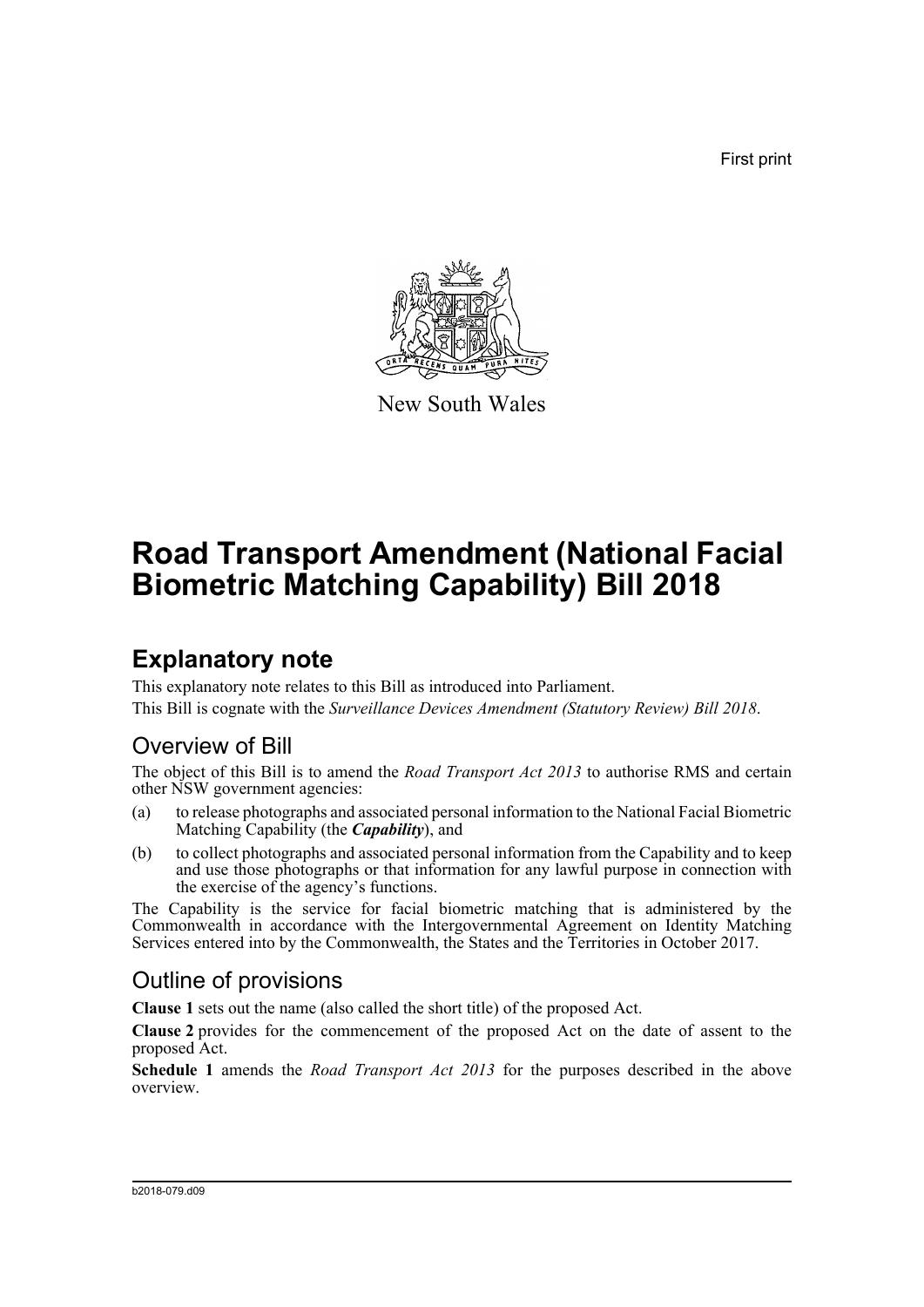First print



New South Wales

# **Road Transport Amendment (National Facial Biometric Matching Capability) Bill 2018**

## **Explanatory note**

This explanatory note relates to this Bill as introduced into Parliament. This Bill is cognate with the *Surveillance Devices Amendment (Statutory Review) Bill 2018*.

## Overview of Bill

The object of this Bill is to amend the *Road Transport Act 2013* to authorise RMS and certain other NSW government agencies:

- (a) to release photographs and associated personal information to the National Facial Biometric Matching Capability (the *Capability*), and
- (b) to collect photographs and associated personal information from the Capability and to keep and use those photographs or that information for any lawful purpose in connection with the exercise of the agency's functions.

The Capability is the service for facial biometric matching that is administered by the Commonwealth in accordance with the Intergovernmental Agreement on Identity Matching Services entered into by the Commonwealth, the States and the Territories in October 2017.

## Outline of provisions

**Clause 1** sets out the name (also called the short title) of the proposed Act.

**Clause 2** provides for the commencement of the proposed Act on the date of assent to the proposed Act.

**Schedule 1** amends the *Road Transport Act 2013* for the purposes described in the above overview.

#### b2018-079.d09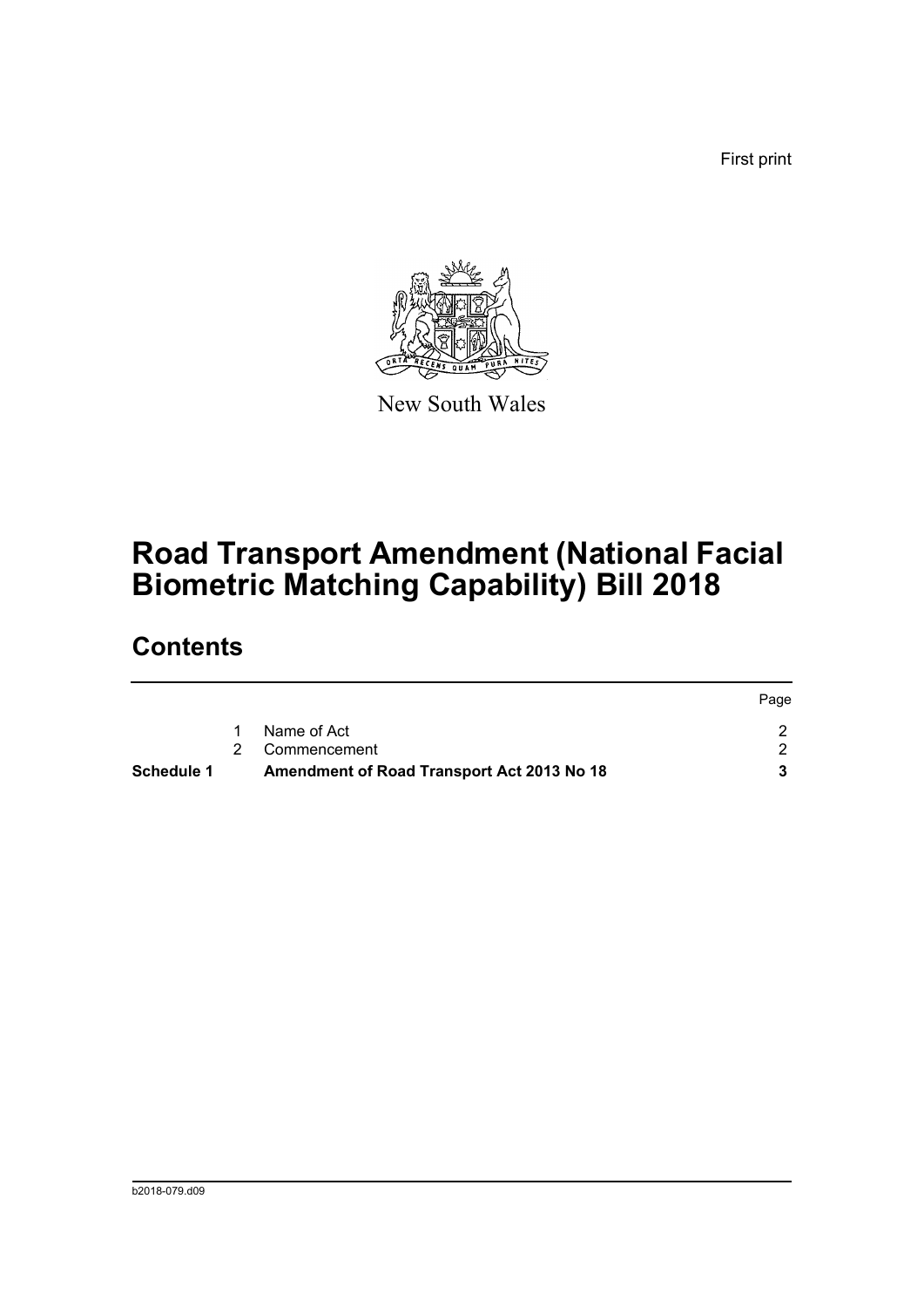First print



New South Wales

# **Road Transport Amendment (National Facial Biometric Matching Capability) Bill 2018**

## **Contents**

| Schedule 1 | Amendment of Road Transport Act 2013 No 18 |      |
|------------|--------------------------------------------|------|
|            | 2 Commencement                             |      |
|            | Name of Act                                |      |
|            |                                            | Page |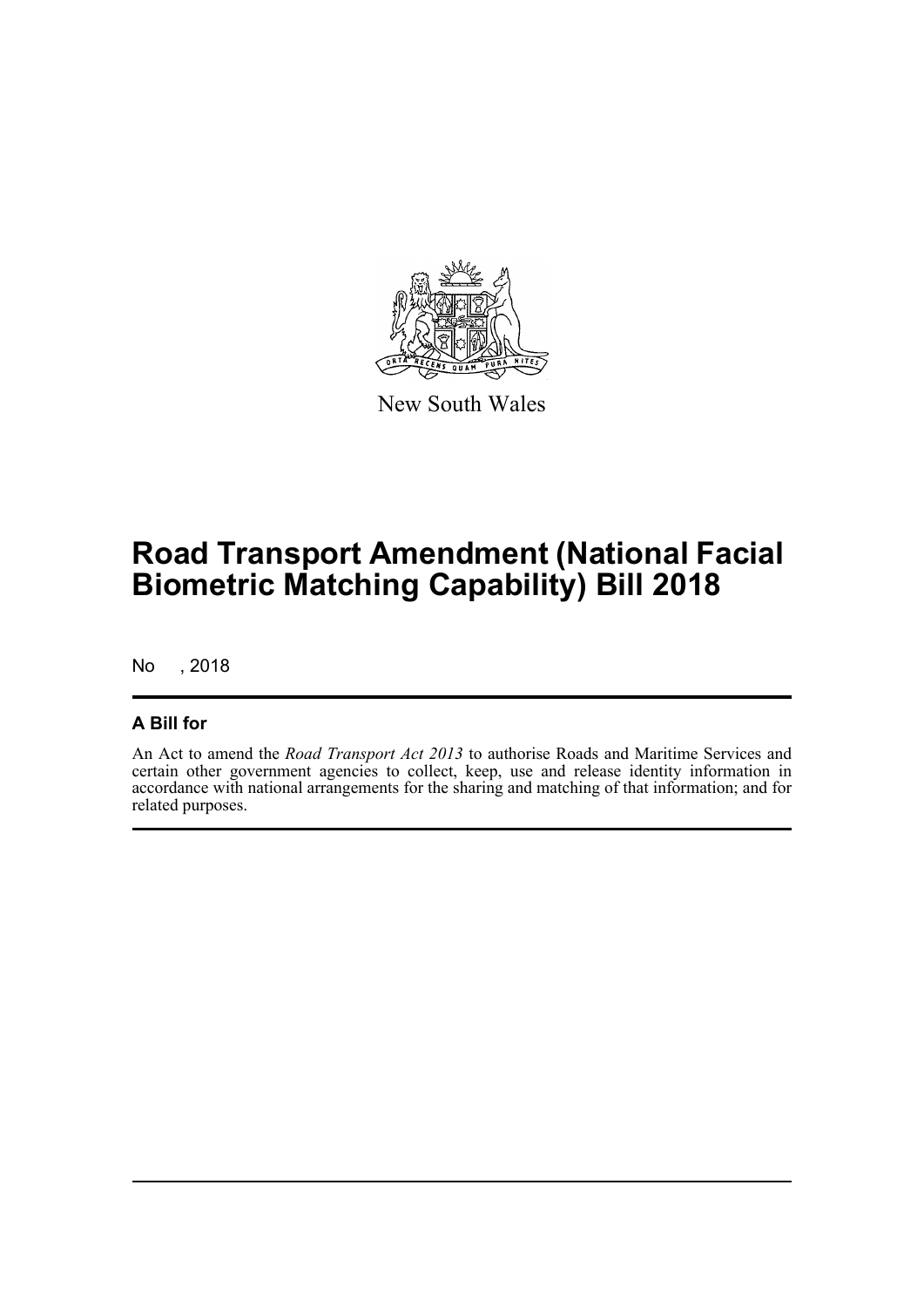

New South Wales

# **Road Transport Amendment (National Facial Biometric Matching Capability) Bill 2018**

No , 2018

#### **A Bill for**

An Act to amend the *Road Transport Act 2013* to authorise Roads and Maritime Services and certain other government agencies to collect, keep, use and release identity information in accordance with national arrangements for the sharing and matching of that information; and for related purposes.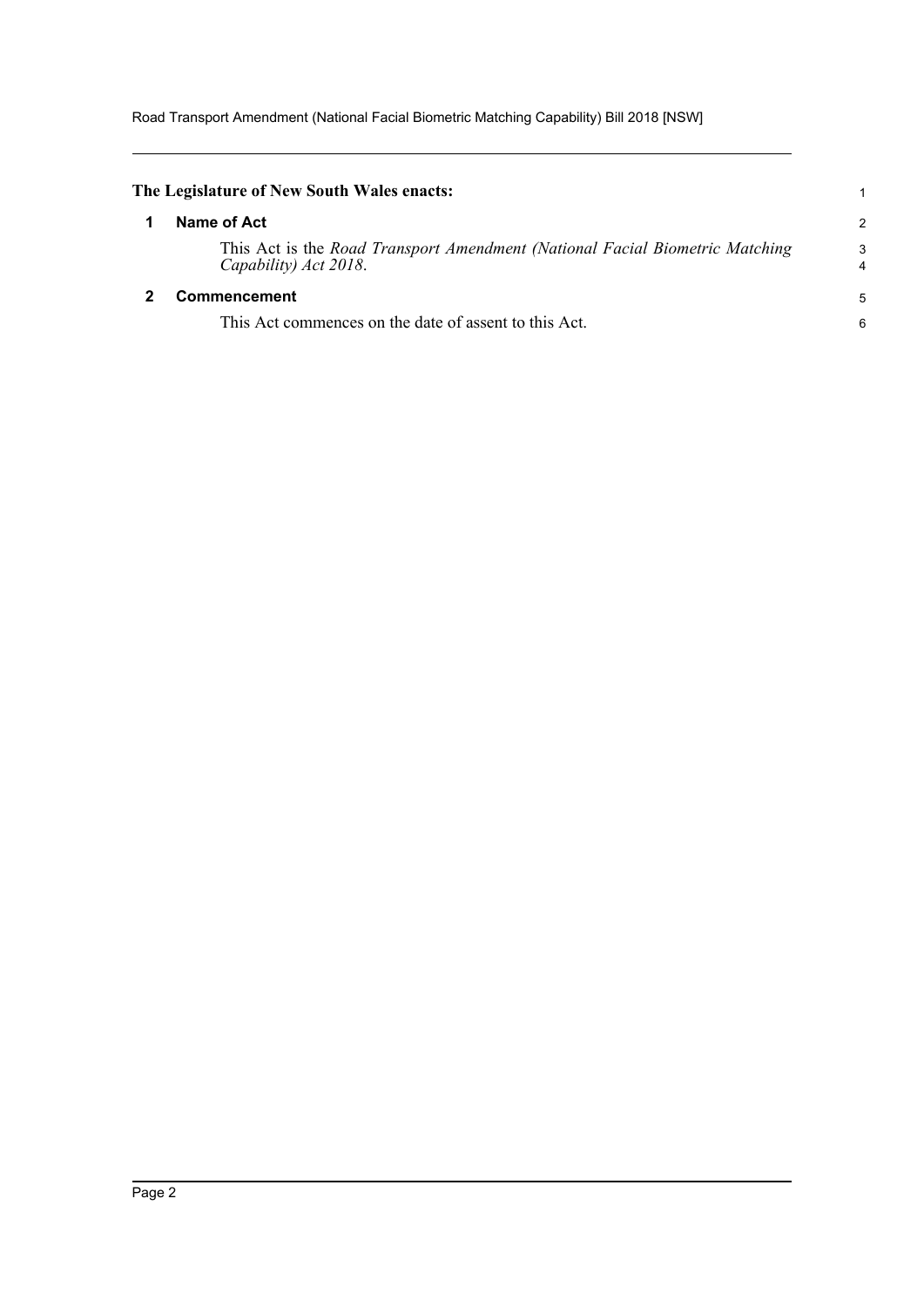Road Transport Amendment (National Facial Biometric Matching Capability) Bill 2018 [NSW]

<span id="page-3-1"></span><span id="page-3-0"></span>

| The Legislature of New South Wales enacts:                                                            |                |
|-------------------------------------------------------------------------------------------------------|----------------|
| Name of Act                                                                                           | $\overline{2}$ |
| This Act is the Road Transport Amendment (National Facial Biometric Matching<br>Capability) Act 2018. | 3<br>4         |
| <b>Commencement</b>                                                                                   | 5              |
| This Act commences on the date of assent to this Act.                                                 | 6              |
|                                                                                                       |                |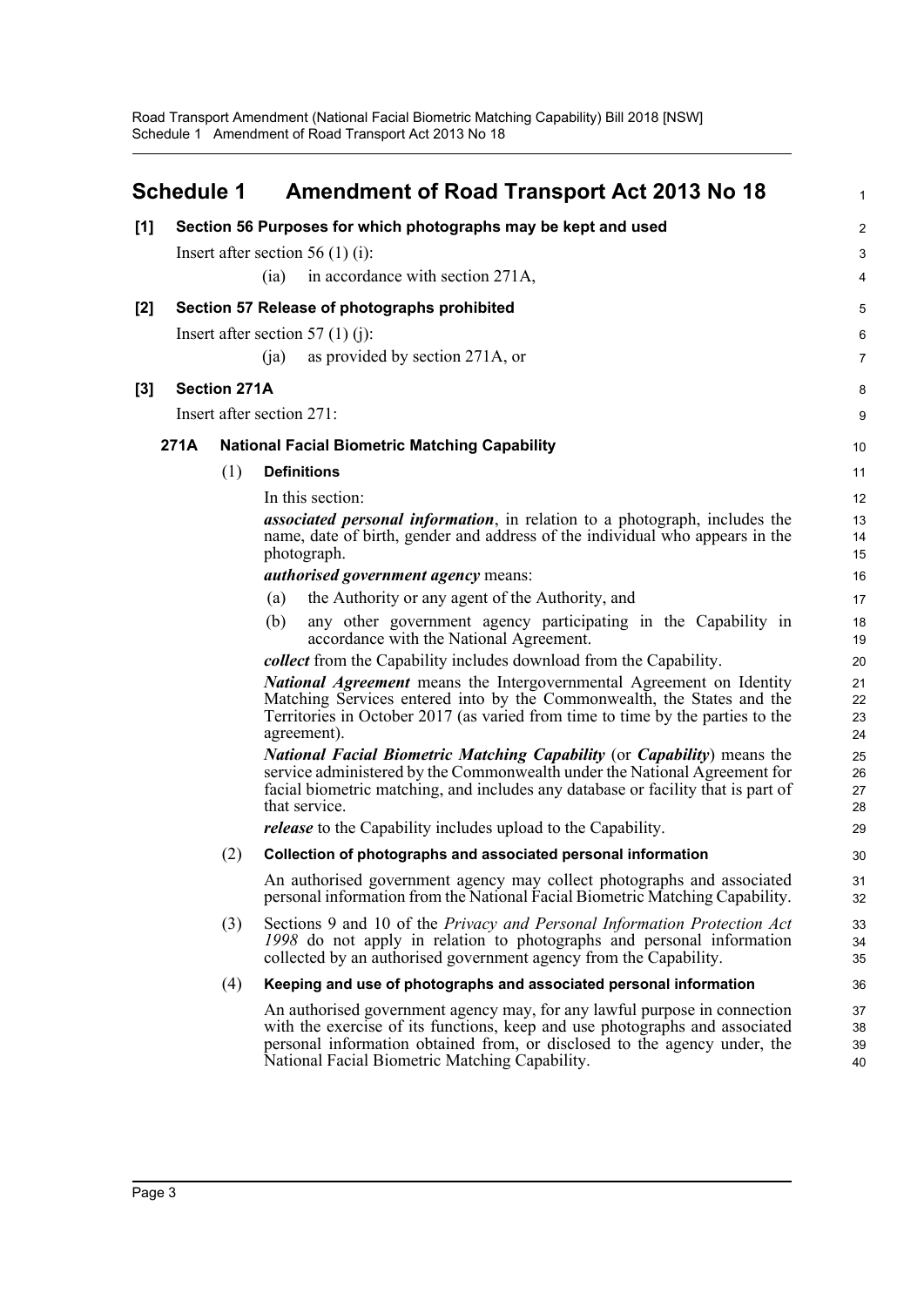<span id="page-4-0"></span>

|       | <b>Schedule 1</b> |                     | <b>Amendment of Road Transport Act 2013 No 18</b>                                                                                                                                                                                                                                       |                      |
|-------|-------------------|---------------------|-----------------------------------------------------------------------------------------------------------------------------------------------------------------------------------------------------------------------------------------------------------------------------------------|----------------------|
| [1]   |                   |                     | Section 56 Purposes for which photographs may be kept and used                                                                                                                                                                                                                          | 2                    |
|       |                   |                     | Insert after section 56 (1) (i):                                                                                                                                                                                                                                                        | З                    |
|       |                   |                     | in accordance with section 271A,<br>(ia)                                                                                                                                                                                                                                                |                      |
| $[2]$ |                   |                     | Section 57 Release of photographs prohibited                                                                                                                                                                                                                                            | 5                    |
|       |                   |                     | Insert after section 57 (1) (j):                                                                                                                                                                                                                                                        | Е                    |
|       |                   |                     | as provided by section 271A, or<br>(i)                                                                                                                                                                                                                                                  | 7                    |
| $[3]$ |                   | <b>Section 271A</b> |                                                                                                                                                                                                                                                                                         | ε                    |
|       |                   |                     | Insert after section 271:                                                                                                                                                                                                                                                               | ς                    |
|       | 271A              |                     | <b>National Facial Biometric Matching Capability</b>                                                                                                                                                                                                                                    | 10                   |
|       |                   | (1)                 | <b>Definitions</b>                                                                                                                                                                                                                                                                      | 11                   |
|       |                   |                     | In this section:                                                                                                                                                                                                                                                                        | 12                   |
|       |                   |                     | <i>associated personal information</i> , in relation to a photograph, includes the                                                                                                                                                                                                      | 13                   |
|       |                   |                     | name, date of birth, gender and address of the individual who appears in the<br>photograph.                                                                                                                                                                                             | 14                   |
|       |                   |                     | authorised government agency means:                                                                                                                                                                                                                                                     | 15<br>16             |
|       |                   |                     | the Authority or any agent of the Authority, and<br>(a)                                                                                                                                                                                                                                 | 17                   |
|       |                   |                     | (b)<br>any other government agency participating in the Capability in<br>accordance with the National Agreement.                                                                                                                                                                        | 18<br>1 <sup>c</sup> |
|       |                   |                     | <i>collect</i> from the Capability includes download from the Capability.                                                                                                                                                                                                               | 20                   |
|       |                   |                     | <b>National Agreement</b> means the Intergovernmental Agreement on Identity<br>Matching Services entered into by the Commonwealth, the States and the<br>Territories in October 2017 (as varied from time to time by the parties to the<br>agreement).                                  | 21<br>22<br>23<br>24 |
|       |                   |                     | <b>National Facial Biometric Matching Capability (or Capability)</b> means the<br>service administered by the Commonwealth under the National Agreement for<br>facial biometric matching, and includes any database or facility that is part of<br>that service.                        | 25<br>26<br>27<br>28 |
|       |                   |                     | <i>release</i> to the Capability includes upload to the Capability.                                                                                                                                                                                                                     | 29                   |
|       |                   | (2)                 | Collection of photographs and associated personal information                                                                                                                                                                                                                           | 30                   |
|       |                   |                     | An authorised government agency may collect photographs and associated<br>personal information from the National Facial Biometric Matching Capability.                                                                                                                                  | 31<br>32             |
|       |                   | (3)                 | Sections 9 and 10 of the Privacy and Personal Information Protection Act<br>1998 do not apply in relation to photographs and personal information<br>collected by an authorised government agency from the Capability.                                                                  | 33<br>34<br>35       |
|       |                   | (4)                 | Keeping and use of photographs and associated personal information                                                                                                                                                                                                                      | 36                   |
|       |                   |                     | An authorised government agency may, for any lawful purpose in connection<br>with the exercise of its functions, keep and use photographs and associated<br>personal information obtained from, or disclosed to the agency under, the<br>National Facial Biometric Matching Capability. | 37<br>38<br>39<br>40 |